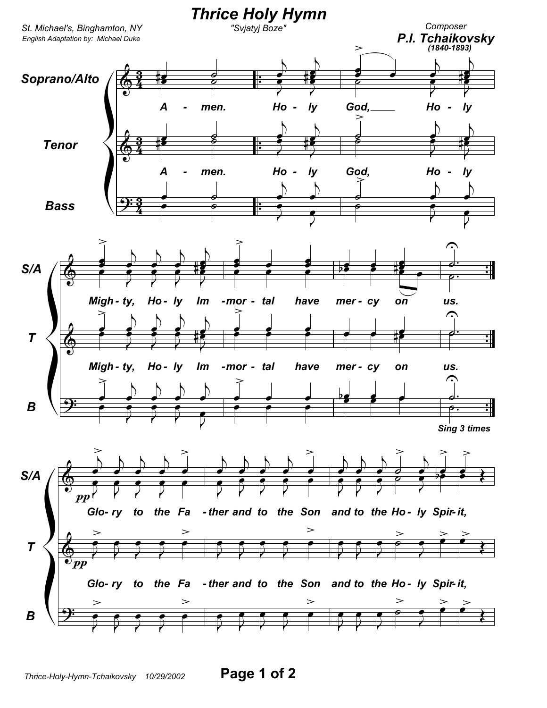